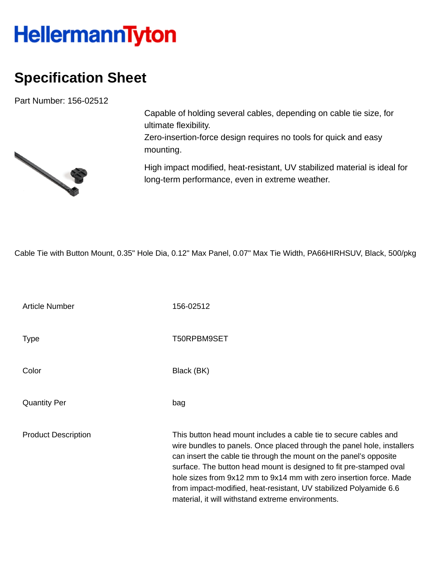## **HellermannTyton**

## **Specification Sheet**

Part Number: 156-02512



Capable of holding several cables, depending on cable tie size, for ultimate flexibility.

Zero-insertion-force design requires no tools for quick and easy mounting.

High impact modified, heat-resistant, UV stabilized material is ideal for long-term performance, even in extreme weather.

Cable Tie with Button Mount, 0.35" Hole Dia, 0.12" Max Panel, 0.07" Max Tie Width, PA66HIRHSUV, Black, 500/pkg

Article Number 156-02512 Type T50RPBM9SET Color Black (BK) Quantity Per bag Product Description This button head mount includes a cable tie to secure cables and wire bundles to panels. Once placed through the panel hole, installers can insert the cable tie through the mount on the panel's opposite surface. The button head mount is designed to fit pre-stamped oval hole sizes from 9x12 mm to 9x14 mm with zero insertion force. Made from impact-modified, heat-resistant, UV stabilized Polyamide 6.6 material, it will withstand extreme environments.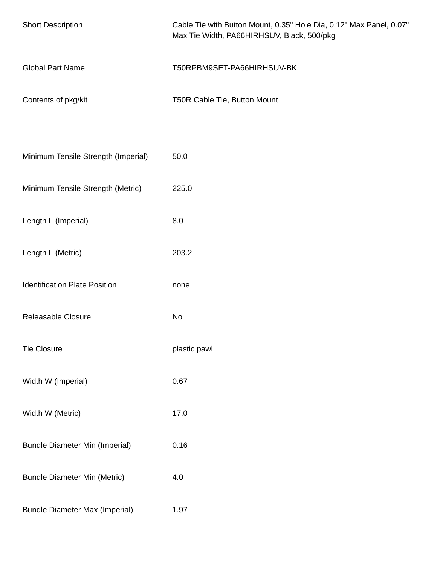| <b>Short Description</b>              | Cable Tie with Button Mount, 0.35" Hole Dia, 0.12" Max Panel, 0.07"<br>Max Tie Width, PA66HIRHSUV, Black, 500/pkg |
|---------------------------------------|-------------------------------------------------------------------------------------------------------------------|
| <b>Global Part Name</b>               | T50RPBM9SET-PA66HIRHSUV-BK                                                                                        |
| Contents of pkg/kit                   | T50R Cable Tie, Button Mount                                                                                      |
|                                       |                                                                                                                   |
| Minimum Tensile Strength (Imperial)   | 50.0                                                                                                              |
| Minimum Tensile Strength (Metric)     | 225.0                                                                                                             |
| Length L (Imperial)                   | 8.0                                                                                                               |
| Length L (Metric)                     | 203.2                                                                                                             |
| <b>Identification Plate Position</b>  | none                                                                                                              |
| Releasable Closure                    | No                                                                                                                |
| <b>Tie Closure</b>                    | plastic pawl                                                                                                      |
| Width W (Imperial)                    | 0.67                                                                                                              |
| Width W (Metric)                      | 17.0                                                                                                              |
| <b>Bundle Diameter Min (Imperial)</b> | 0.16                                                                                                              |
| <b>Bundle Diameter Min (Metric)</b>   | 4.0                                                                                                               |
| <b>Bundle Diameter Max (Imperial)</b> | 1.97                                                                                                              |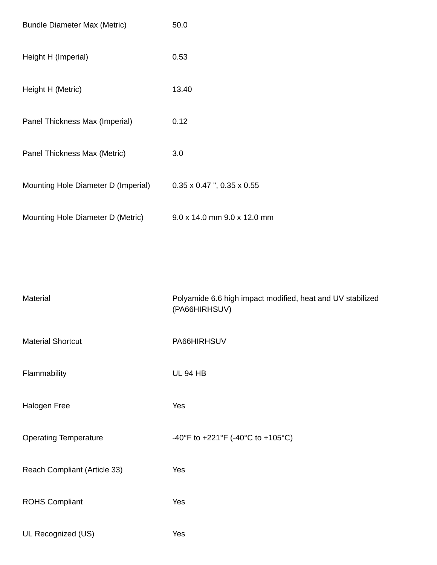| <b>Bundle Diameter Max (Metric)</b> | 50.0                                     |
|-------------------------------------|------------------------------------------|
| Height H (Imperial)                 | 0.53                                     |
| Height H (Metric)                   | 13.40                                    |
| Panel Thickness Max (Imperial)      | 0.12                                     |
| Panel Thickness Max (Metric)        | 3.0                                      |
| Mounting Hole Diameter D (Imperial) | $0.35 \times 0.47$ ", $0.35 \times 0.55$ |
| Mounting Hole Diameter D (Metric)   | 9.0 x 14.0 mm 9.0 x 12.0 mm              |

| Material                     | Polyamide 6.6 high impact modified, heat and UV stabilized<br>(PA66HIRHSUV) |
|------------------------------|-----------------------------------------------------------------------------|
| <b>Material Shortcut</b>     | PA66HIRHSUV                                                                 |
| Flammability                 | <b>UL 94 HB</b>                                                             |
| Halogen Free                 | Yes                                                                         |
| <b>Operating Temperature</b> | -40°F to +221°F (-40°C to +105°C)                                           |
| Reach Compliant (Article 33) | Yes                                                                         |
| <b>ROHS Compliant</b>        | Yes                                                                         |
| UL Recognized (US)           | Yes                                                                         |